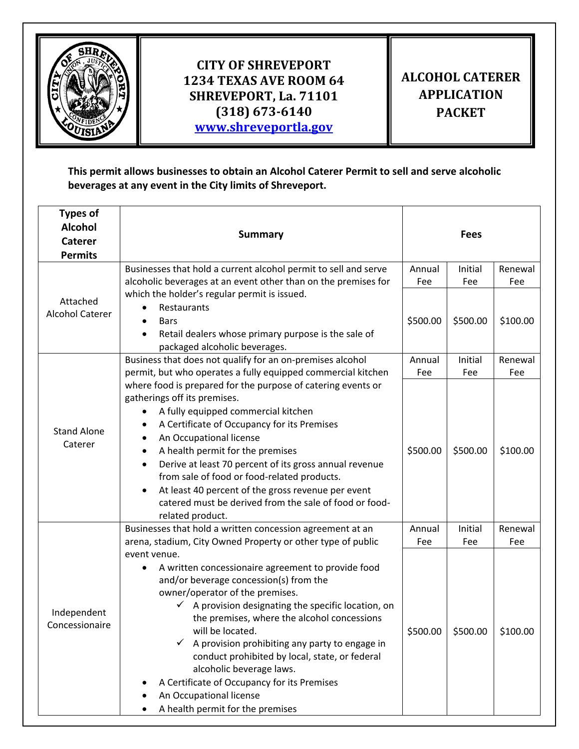

## **CITY OF SHREVEPORT 1234 TEXAS AVE ROOM 64 SHREVEPORT, La. 71101 (318) 673-6140 [www.shreveportla.gov](http://www.shreveportla.gov/)**

## **ALCOHOL CATERER APPLICATION PACKET**

**This permit allows businesses to obtain an Alcohol Caterer Permit to sell and serve alcoholic beverages at any event in the City limits of Shreveport.** 

| <b>Types of</b><br><b>Alcohol</b><br><b>Caterer</b><br><b>Permits</b> | <b>Summary</b>                                                                                                                                                                                                                                                                                                                                                                                                                                                                                                                     |                    | <b>Fees</b>    |                |  |
|-----------------------------------------------------------------------|------------------------------------------------------------------------------------------------------------------------------------------------------------------------------------------------------------------------------------------------------------------------------------------------------------------------------------------------------------------------------------------------------------------------------------------------------------------------------------------------------------------------------------|--------------------|----------------|----------------|--|
|                                                                       | Businesses that hold a current alcohol permit to sell and serve<br>alcoholic beverages at an event other than on the premises for                                                                                                                                                                                                                                                                                                                                                                                                  | Annual<br>Fee      | Initial<br>Fee | Renewal<br>Fee |  |
| Attached<br><b>Alcohol Caterer</b>                                    | which the holder's regular permit is issued.<br>Restaurants<br><b>Bars</b><br>$\bullet$<br>Retail dealers whose primary purpose is the sale of<br>packaged alcoholic beverages.                                                                                                                                                                                                                                                                                                                                                    | \$500.00           | \$500.00       | \$100.00       |  |
|                                                                       | Business that does not qualify for an on-premises alcohol<br>permit, but who operates a fully equipped commercial kitchen                                                                                                                                                                                                                                                                                                                                                                                                          | Annual<br>Fee      | Initial<br>Fee | Renewal<br>Fee |  |
| <b>Stand Alone</b><br>Caterer                                         | where food is prepared for the purpose of catering events or<br>gatherings off its premises.<br>A fully equipped commercial kitchen<br>A Certificate of Occupancy for its Premises<br>An Occupational license<br>A health permit for the premises<br>Derive at least 70 percent of its gross annual revenue<br>$\bullet$<br>from sale of food or food-related products.<br>At least 40 percent of the gross revenue per event<br>catered must be derived from the sale of food or food-<br>related product.                        | \$500.00<br>Annual | \$500.00       | \$100.00       |  |
|                                                                       | Businesses that hold a written concession agreement at an<br>arena, stadium, City Owned Property or other type of public                                                                                                                                                                                                                                                                                                                                                                                                           |                    | Initial<br>Fee | Renewal<br>Fee |  |
| Independent<br>Concessionaire                                         | event venue.<br>A written concessionaire agreement to provide food<br>and/or beverage concession(s) from the<br>owner/operator of the premises.<br>$\checkmark$ A provision designating the specific location, on<br>the premises, where the alcohol concessions<br>will be located.<br>A provision prohibiting any party to engage in<br>conduct prohibited by local, state, or federal<br>alcoholic beverage laws.<br>A Certificate of Occupancy for its Premises<br>An Occupational license<br>A health permit for the premises | Fee<br>\$500.00    | \$500.00       | \$100.00       |  |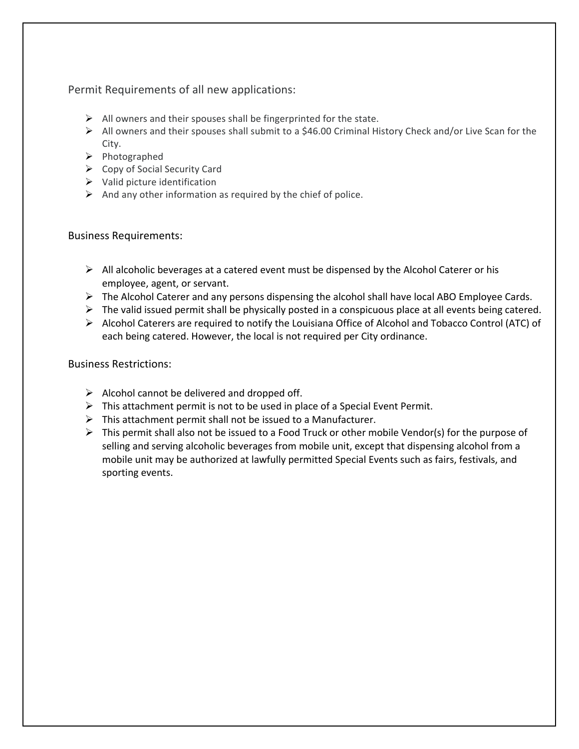Permit Requirements of all new applications:

- $\triangleright$  All owners and their spouses shall be fingerprinted for the state.
- ➢ All owners and their spouses shall submit to a \$46.00 Criminal History Check and/or Live Scan for the City.
- ➢ Photographed
- ➢ Copy of Social Security Card
- $\triangleright$  Valid picture identification
- $\triangleright$  And any other information as required by the chief of police.

## Business Requirements:

- $\triangleright$  All alcoholic beverages at a catered event must be dispensed by the Alcohol Caterer or his employee, agent, or servant.
- ➢ The Alcohol Caterer and any persons dispensing the alcohol shall have local ABO Employee Cards.
- $\triangleright$  The valid issued permit shall be physically posted in a conspicuous place at all events being catered.
- ➢ Alcohol Caterers are required to notify the Louisiana Office of Alcohol and Tobacco Control (ATC) of each being catered. However, the local is not required per City ordinance.

## Business Restrictions:

- $\triangleright$  Alcohol cannot be delivered and dropped off.
- $\triangleright$  This attachment permit is not to be used in place of a Special Event Permit.
- $\triangleright$  This attachment permit shall not be issued to a Manufacturer.
- $\triangleright$  This permit shall also not be issued to a Food Truck or other mobile Vendor(s) for the purpose of selling and serving alcoholic beverages from mobile unit, except that dispensing alcohol from a mobile unit may be authorized at lawfully permitted Special Events such as fairs, festivals, and sporting events.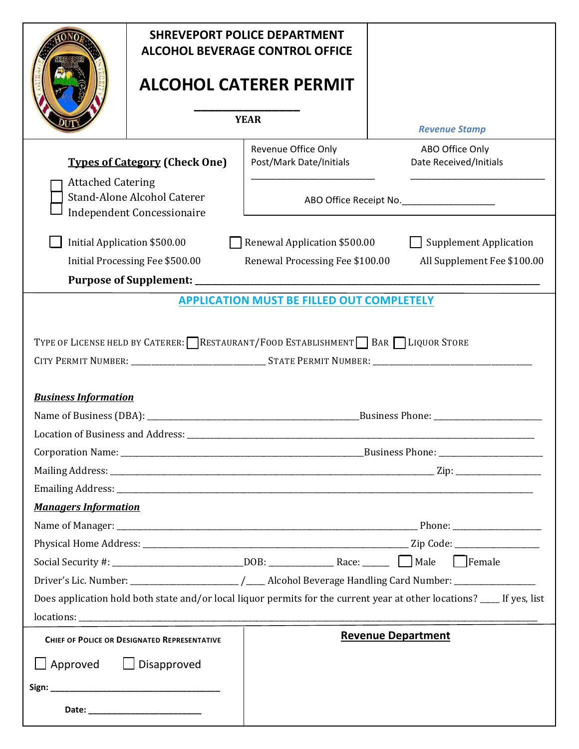|                                                                                                                | <b>SHREVEPORT POLICE DEPARTMENT</b><br><b>ALCOHOL BEVERAGE CONTROL OFFICE</b><br><b>ALCOHOL CATERER PERMIT</b><br><b>YEAR</b> |                                                                                  |                                                                                                                         |  |  |
|----------------------------------------------------------------------------------------------------------------|-------------------------------------------------------------------------------------------------------------------------------|----------------------------------------------------------------------------------|-------------------------------------------------------------------------------------------------------------------------|--|--|
|                                                                                                                |                                                                                                                               |                                                                                  |                                                                                                                         |  |  |
|                                                                                                                |                                                                                                                               |                                                                                  | <b>Revenue Stamp</b>                                                                                                    |  |  |
| <b>Types of Category (Check One)</b>                                                                           |                                                                                                                               | Revenue Office Only<br>Post/Mark Date/Initials                                   | ABO Office Only<br>Date Received/Initials                                                                               |  |  |
| <b>Attached Catering</b><br><b>Stand-Alone Alcohol Caterer</b><br><b>Independent Concessionaire</b>            |                                                                                                                               | ABO Office Receipt No._____________________                                      |                                                                                                                         |  |  |
|                                                                                                                | Initial Application \$500.00                                                                                                  | Renewal Application \$500.00                                                     | <b>Supplement Application</b>                                                                                           |  |  |
|                                                                                                                | Initial Processing Fee \$500.00                                                                                               | Renewal Processing Fee \$100.00                                                  | All Supplement Fee \$100.00                                                                                             |  |  |
|                                                                                                                |                                                                                                                               | <b>APPLICATION MUST BE FILLED OUT COMPLETELY</b>                                 |                                                                                                                         |  |  |
| <b>Business Information</b>                                                                                    |                                                                                                                               | TYPE OF LICENSE HELD BY CATERER: RESTAURANT/FOOD ESTABLISHMENT BAR ILIQUOR STORE |                                                                                                                         |  |  |
|                                                                                                                |                                                                                                                               |                                                                                  |                                                                                                                         |  |  |
|                                                                                                                |                                                                                                                               |                                                                                  |                                                                                                                         |  |  |
|                                                                                                                |                                                                                                                               |                                                                                  |                                                                                                                         |  |  |
|                                                                                                                |                                                                                                                               |                                                                                  |                                                                                                                         |  |  |
| <b>Managers Information</b>                                                                                    |                                                                                                                               |                                                                                  |                                                                                                                         |  |  |
|                                                                                                                |                                                                                                                               |                                                                                  |                                                                                                                         |  |  |
|                                                                                                                |                                                                                                                               |                                                                                  |                                                                                                                         |  |  |
| Driver's Lic. Number: __________________________/_____Alcohol Beverage Handling Card Number: _________________ |                                                                                                                               |                                                                                  |                                                                                                                         |  |  |
|                                                                                                                |                                                                                                                               |                                                                                  | Does application hold both state and/or local liquor permits for the current year at other locations? ____ If yes, list |  |  |
|                                                                                                                |                                                                                                                               |                                                                                  |                                                                                                                         |  |  |
| <b>CHIEF OF POLICE OR DESIGNATED REPRESENTATIVE</b>                                                            |                                                                                                                               |                                                                                  | <b>Revenue Department</b>                                                                                               |  |  |
| $\Box$ Approved $\Box$ Disapproved                                                                             |                                                                                                                               |                                                                                  |                                                                                                                         |  |  |
|                                                                                                                |                                                                                                                               |                                                                                  |                                                                                                                         |  |  |
|                                                                                                                | Date: __________________________                                                                                              |                                                                                  |                                                                                                                         |  |  |